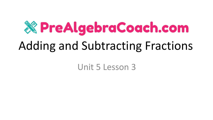# **X PreAlgebraCoach.com** Adding and Subtracting Fractions

Unit 5 Lesson 3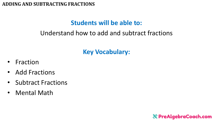# **Students will be able to:**

## Understand how to add and subtract fractions

# **Key Vocabulary:**

- Fraction
- Add Fractions
- Subtract Fractions
- Mental Math

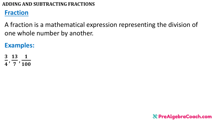## **Fraction**

A fraction is a mathematical expression representing the division of one whole number by another.

**Examples:**

3 13 1  $\overline{\mathbf{4}}$ , 7 , **100** 

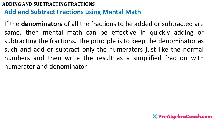## **Add and Subtract Fractions using Mental Math**

If the **denominators** of all the fractions to be added or subtracted are same, then mental math can be effective in quickly adding or subtracting the fractions. The principle is to keep the denominator as such and add or subtract only the numerators just like the normal numbers and then write the result as a simplified fraction with numerator and denominator.

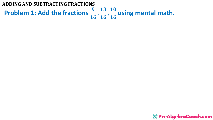**Problem 1: Add the fractions**  16 , 13 16 , **10** 16 **using mental math. ADDING AND SUBTRACTING FRACTIONS**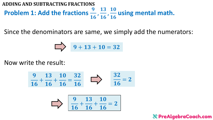**Problem 1: Add the fractions**  16 , 13 16 , **10** 16 **using mental math. ADDING AND SUBTRACTING FRACTIONS**

Since the denominators are same, we simply add the numerators:

$$
\begin{array}{|c|c|}\n\hline\n\end{array}\n\qquad 9 + 13 + 10 = 32
$$

Now write the result:

$$
\frac{9}{16} + \frac{13}{16} + \frac{10}{16} = \frac{32}{16}
$$
  $\implies$   $\frac{32}{16} = 2$ 

$$
\sum \frac{9}{16} + \frac{13}{16} + \frac{10}{16} = 2
$$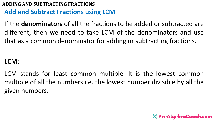## **Add and Subtract Fractions using LCM**

If the **denominators** of all the fractions to be added or subtracted are different, then we need to take LCM of the denominators and use that as a common denominator for adding or subtracting fractions.

## **LCM:**

LCM stands for least common multiple. It is the lowest common multiple of all the numbers i.e. the lowest number divisible by all the given numbers.

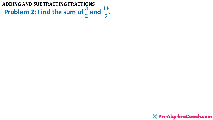**Problem 2: Find the sum of**  $\frac{3}{2}$  $\overline{\mathbf{2}}$ and  $\frac{14}{5}$ 5 . **ADDING AND SUBTRACTING FRACTIONS**